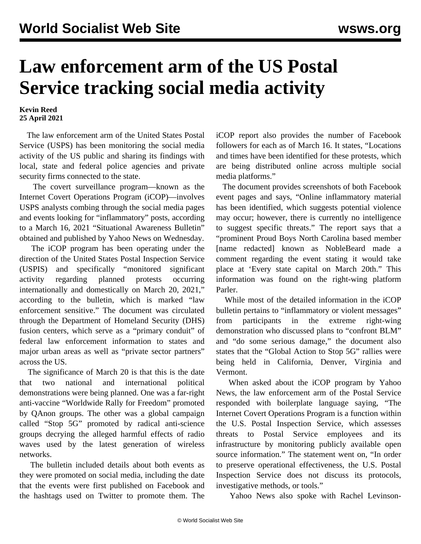## **Law enforcement arm of the US Postal Service tracking social media activity**

## **Kevin Reed 25 April 2021**

 The law enforcement arm of the United States Postal Service (USPS) has been monitoring the social media activity of the US public and sharing its findings with local, state and federal police agencies and private security firms connected to the state.

 The covert surveillance program—known as the Internet Covert Operations Program (iCOP)—involves USPS analysts combing through the social media pages and events looking for "inflammatory" posts, according to a March 16, 2021 "Situational Awareness Bulletin" obtained and published by Yahoo News on Wednesday.

 The iCOP program has been operating under the direction of the United States Postal Inspection Service (USPIS) and specifically "monitored significant activity regarding planned protests occurring internationally and domestically on March 20, 2021," according to the bulletin, which is marked "law enforcement sensitive." The document was circulated through the Department of Homeland Security (DHS) fusion centers, which serve as a "primary conduit" of federal law enforcement information to states and major urban areas as well as "private sector partners" across the US.

 The significance of March 20 is that this is the date that two national and international political demonstrations were being planned. One was a far-right anti-vaccine "Worldwide Rally for Freedom" promoted by QAnon groups. The other was a global campaign called "Stop 5G" promoted by radical anti-science groups decrying the alleged harmful effects of radio waves used by the latest generation of wireless networks.

 The bulletin included details about both events as they were promoted on social media, including the date that the events were first published on Facebook and the hashtags used on Twitter to promote them. The iCOP report also provides the number of Facebook followers for each as of March 16. It states, "Locations and times have been identified for these protests, which are being distributed online across multiple social media platforms."

 The document provides screenshots of both Facebook event pages and says, "Online inflammatory material has been identified, which suggests potential violence may occur; however, there is currently no intelligence to suggest specific threats." The report says that a "prominent Proud Boys North Carolina based member [name redacted] known as NobleBeard made a comment regarding the event stating it would take place at 'Every state capital on March 20th." This information was found on the right-wing platform Parler.

 While most of the detailed information in the iCOP bulletin pertains to "inflammatory or violent messages" from participants in the extreme right-wing demonstration who discussed plans to "confront BLM" and "do some serious damage," the document also states that the "Global Action to Stop 5G" rallies were being held in California, Denver, Virginia and Vermont.

 When asked about the iCOP program by Yahoo News, the law enforcement arm of the Postal Service responded with boilerplate language saying, "The Internet Covert Operations Program is a function within the U.S. Postal Inspection Service, which assesses threats to Postal Service employees and its infrastructure by monitoring publicly available open source information." The statement went on, "In order to preserve operational effectiveness, the U.S. Postal Inspection Service does not discuss its protocols, investigative methods, or tools."

Yahoo News also spoke with Rachel Levinson-